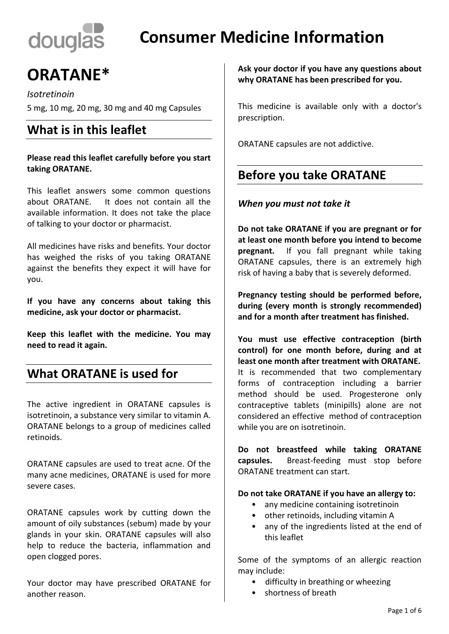# douglas

## **Consumer Medicine Information**

# **ORATANE\***

*Isotretinoin* 

5 mg, 10 mg, 20 mg, 30 mg and 40 mg Capsules

## **What is in this leaflet**

**Please read this leaflet carefully before you start taking ORATANE.**

This leaflet answers some common questions about ORATANE. It does not contain all the available information. It does not take the place of talking to your doctor or pharmacist.

All medicines have risks and benefits. Your doctor has weighed the risks of you taking ORATANE against the benefits they expect it will have for you.

**If you have any concerns about taking this medicine, ask your doctor or pharmacist.**

**Keep this leaflet with the medicine. You may need to read it again.**

## **What ORATANE is used for**

The active ingredient in ORATANE capsules is isotretinoin, a substance very similar to vitamin A. ORATANE belongs to a group of medicines called retinoids.

ORATANE capsules are used to treat acne. Of the many acne medicines, ORATANE is used for more severe cases.

ORATANE capsules work by cutting down the amount of oily substances (sebum) made by your glands in your skin. ORATANE capsules will also help to reduce the bacteria, inflammation and open clogged pores.

Your doctor may have prescribed ORATANE for another reason.

**Ask your doctor if you have any questions about why ORATANE has been prescribed for you.**

This medicine is available only with a doctor's prescription.

ORATANE capsules are not addictive.

## **Before you take ORATANE**

#### *When you must not take it*

**Do not take ORATANE if you are pregnant or for at least one month before you intend to become pregnant.** If you fall pregnant while taking ORATANE capsules, there is an extremely high risk of having a baby that is severely deformed.

**Pregnancy testing should be performed before, during (every month is strongly recommended) and for a month after treatment has finished.**

**You must use effective contraception (birth control) for one month before, during and at least one month after treatment with ORATANE.** It is recommended that two complementary forms of contraception including a barrier method should be used. Progesterone only contraceptive tablets (minipills) alone are not considered an effective method of contraception while you are on isotretinoin.

**Do not breastfeed while taking ORATANE capsules.** Breast-feeding must stop before ORATANE treatment can start.

**Do not take ORATANE if you have an allergy to:**

- any medicine containing isotretinoin
- other retinoids, including vitamin A
- any of the ingredients listed at the end of this leaflet

Some of the symptoms of an allergic reaction may include:

- difficulty in breathing or wheezing
- shortness of breath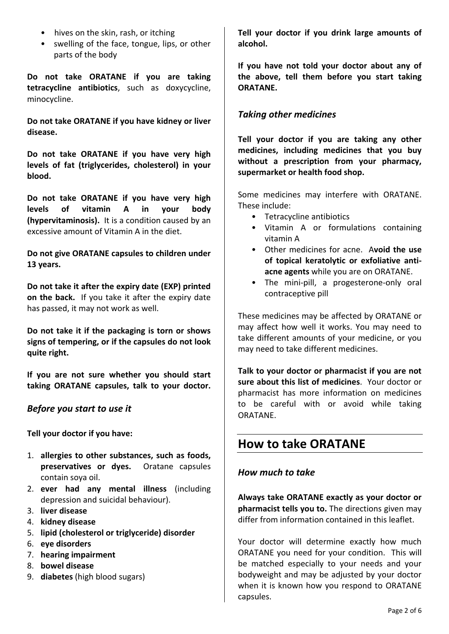- hives on the skin, rash, or itching
- swelling of the face, tongue, lips, or other parts of the body

**Do not take ORATANE if you are taking tetracycline antibiotics**, such as doxycycline, minocycline.

**Do not take ORATANE if you have kidney or liver disease.**

**Do not take ORATANE if you have very high levels of fat (triglycerides, cholesterol) in your blood.**

**Do not take ORATANE if you have very high levels of vitamin A in your body (hypervitaminosis).** It is a condition caused by an excessive amount of Vitamin A in the diet.

**Do not give ORATANE capsules to children under 13 years.**

**Do not take it after the expiry date (EXP) printed on the back.** If you take it after the expiry date has passed, it may not work as well.

**Do not take it if the packaging is torn or shows signs of tempering, or if the capsules do not look quite right.**

**If you are not sure whether you should start taking ORATANE capsules, talk to your doctor.**

#### *Before you start to use it*

**Tell your doctor if you have:**

- 1. **allergies to other substances, such as foods, preservatives or dyes.** Oratane capsules contain soya oil.
- 2. **ever had any mental illness** (including depression and suicidal behaviour).
- 3. **liver disease**
- 4. **kidney disease**
- 5. **lipid (cholesterol or triglyceride) disorder**
- 6. **eye disorders**
- 7. **hearing impairment**
- 8. **bowel disease**
- 9. **diabetes** (high blood sugars)

**Tell your doctor if you drink large amounts of alcohol.**

**If you have not told your doctor about any of the above, tell them before you start taking ORATANE.**

#### *Taking other medicines*

**Tell your doctor if you are taking any other medicines, including medicines that you buy without a prescription from your pharmacy, supermarket or health food shop.** 

Some medicines may interfere with ORATANE. These include:

- Tetracycline antibiotics
- Vitamin A or formulations containing vitamin A
- Other medicines for acne. A**void the use of topical keratolytic or exfoliative antiacne agents** while you are on ORATANE.
- The mini-pill, a progesterone-only oral contraceptive pill

These medicines may be affected by ORATANE or may affect how well it works. You may need to take different amounts of your medicine, or you may need to take different medicines.

**Talk to your doctor or pharmacist if you are not sure about this list of medicines**. Your doctor or pharmacist has more information on medicines to be careful with or avoid while taking ORATANE.

## **How to take ORATANE**

#### *How much to take*

**Always take ORATANE exactly as your doctor or pharmacist tells you to.** The directions given may differ from information contained in this leaflet.

Your doctor will determine exactly how much ORATANE you need for your condition. This will be matched especially to your needs and your bodyweight and may be adjusted by your doctor when it is known how you respond to ORATANE capsules.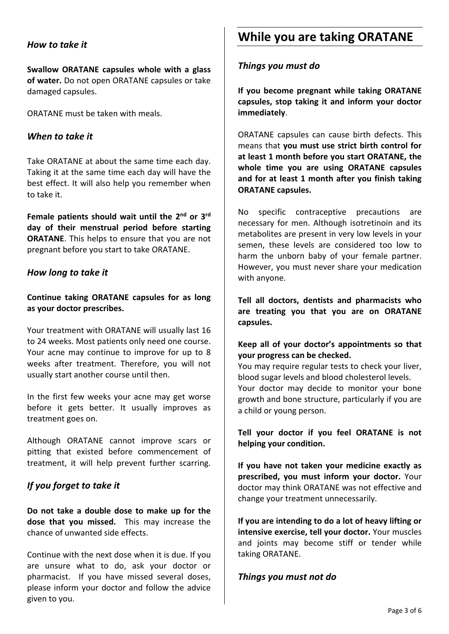#### *How to take it*

**Swallow ORATANE capsules whole with a glass of water.** Do not open ORATANE capsules or take damaged capsules.

ORATANE must be taken with meals.

#### *When to take it*

Take ORATANE at about the same time each day. Taking it at the same time each day will have the best effect. It will also help you remember when to take it.

Female patients should wait until the 2<sup>nd</sup> or 3<sup>rd</sup> **day of their menstrual period before starting ORATANE**. This helps to ensure that you are not pregnant before you start to take ORATANE.

#### *How long to take it*

**Continue taking ORATANE capsules for as long as your doctor prescribes.**

Your treatment with ORATANE will usually last 16 to 24 weeks. Most patients only need one course. Your acne may continue to improve for up to 8 weeks after treatment. Therefore, you will not usually start another course until then.

In the first few weeks your acne may get worse before it gets better. It usually improves as treatment goes on.

Although ORATANE cannot improve scars or pitting that existed before commencement of treatment, it will help prevent further scarring.

#### *If you forget to take it*

**Do not take a double dose to make up for the dose that you missed.** This may increase the chance of unwanted side effects.

Continue with the next dose when it is due. If you are unsure what to do, ask your doctor or pharmacist. If you have missed several doses, please inform your doctor and follow the advice given to you.

## **While you are taking ORATANE**

#### *Things you must do*

**If you become pregnant while taking ORATANE capsules, stop taking it and inform your doctor immediately**.

ORATANE capsules can cause birth defects. This means that **you must use strict birth control for at least 1 month before you start ORATANE, the whole time you are using ORATANE capsules and for at least 1 month after you finish taking ORATANE capsules.**

No specific contraceptive precautions are necessary for men. Although isotretinoin and its metabolites are present in very low levels in your semen, these levels are considered too low to harm the unborn baby of your female partner. However, you must never share your medication with anyone.

**Tell all doctors, dentists and pharmacists who are treating you that you are on ORATANE capsules.**

#### **Keep all of your doctor's appointments so that your progress can be checked.**

You may require regular tests to check your liver, blood sugar levels and blood cholesterol levels. Your doctor may decide to monitor your bone growth and bone structure, particularly if you are a child or young person.

**Tell your doctor if you feel ORATANE is not helping your condition.**

**If you have not taken your medicine exactly as prescribed, you must inform your doctor.** Your doctor may think ORATANE was not effective and change your treatment unnecessarily.

**If you are intending to do a lot of heavy lifting or intensive exercise, tell your doctor.** Your muscles and joints may become stiff or tender while taking ORATANE.

#### *Things you must not do*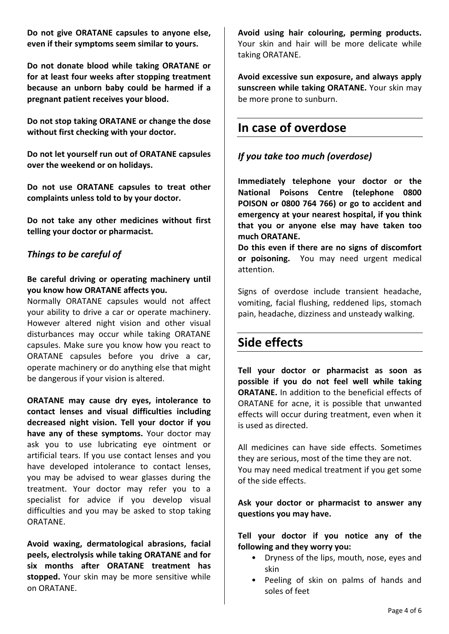**Do not give ORATANE capsules to anyone else, even if their symptoms seem similar to yours.**

**Do not donate blood while taking ORATANE or for at least four weeks after stopping treatment because an unborn baby could be harmed if a pregnant patient receives your blood.**

**Do not stop taking ORATANE or change the dose without first checking with your doctor.**

**Do not let yourself run out of ORATANE capsules over the weekend or on holidays.**

**Do not use ORATANE capsules to treat other complaints unless told to by your doctor.**

**Do not take any other medicines without first telling your doctor or pharmacist.**

#### *Things to be careful of*

#### **Be careful driving or operating machinery until you know how ORATANE affects you.**

Normally ORATANE capsules would not affect your ability to drive a car or operate machinery. However altered night vision and other visual disturbances may occur while taking ORATANE capsules. Make sure you know how you react to ORATANE capsules before you drive a car, operate machinery or do anything else that might be dangerous if your vision is altered.

**ORATANE may cause dry eyes, intolerance to contact lenses and visual difficulties including decreased night vision. Tell your doctor if you have any of these symptoms.** Your doctor may ask you to use lubricating eye ointment or artificial tears. If you use contact lenses and you have developed intolerance to contact lenses, you may be advised to wear glasses during the treatment. Your doctor may refer you to a specialist for advice if you develop visual difficulties and you may be asked to stop taking ORATANE.

**Avoid waxing, dermatological abrasions, facial peels, electrolysis while taking ORATANE and for six months after ORATANE treatment has stopped.** Your skin may be more sensitive while on ORATANE.

**Avoid using hair colouring, perming products.**  Your skin and hair will be more delicate while taking ORATANE.

**Avoid excessive sun exposure, and always apply sunscreen while taking ORATANE.** Your skin may be more prone to sunburn.

## **In case of overdose**

#### *If you take too much (overdose)*

**Immediately telephone your doctor or the National Poisons Centre (telephone 0800 POISON or 0800 764 766) or go to accident and emergency at your nearest hospital, if you think that you or anyone else may have taken too much ORATANE.**

**Do this even if there are no signs of discomfort or poisoning.** You may need urgent medical attention.

Signs of overdose include transient headache, vomiting, facial flushing, reddened lips, stomach pain, headache, dizziness and unsteady walking.

## **Side effects**

**Tell your doctor or pharmacist as soon as possible if you do not feel well while taking ORATANE.** In addition to the beneficial effects of ORATANE for acne, it is possible that unwanted effects will occur during treatment, even when it is used as directed.

All medicines can have side effects. Sometimes they are serious, most of the time they are not. You may need medical treatment if you get some of the side effects.

**Ask your doctor or pharmacist to answer any questions you may have.**

**Tell your doctor if you notice any of the following and they worry you:**

- Dryness of the lips, mouth, nose, eyes and skin
- Peeling of skin on palms of hands and soles of feet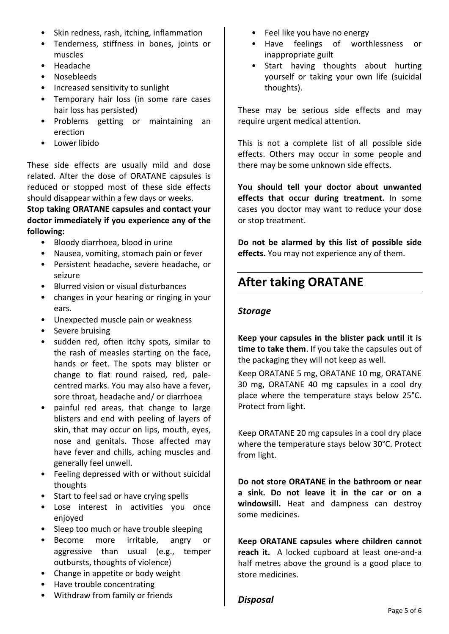- Skin redness, rash, itching, inflammation
- Tenderness, stiffness in bones, joints or muscles
- Headache
- Nosebleeds
- Increased sensitivity to sunlight
- Temporary hair loss (in some rare cases hair loss has persisted)
- Problems getting or maintaining an erection
- Lower libido

These side effects are usually mild and dose related. After the dose of ORATANE capsules is reduced or stopped most of these side effects should disappear within a few days or weeks.

#### **Stop taking ORATANE capsules and contact your doctor immediately if you experience any of the following:**

- Bloody diarrhoea, blood in urine
- Nausea, vomiting, stomach pain or fever
- Persistent headache, severe headache, or seizure
- Blurred vision or visual disturbances
- changes in your hearing or ringing in your ears.
- Unexpected muscle pain or weakness
- Severe bruising
- sudden red, often itchy spots, similar to the rash of measles starting on the face, hands or feet. The spots may blister or change to flat round raised, red, palecentred marks. You may also have a fever, sore throat, headache and/ or diarrhoea
- painful red areas, that change to large blisters and end with peeling of layers of skin, that may occur on lips, mouth, eyes, nose and genitals. Those affected may have fever and chills, aching muscles and generally feel unwell.
- Feeling depressed with or without suicidal thoughts
- Start to feel sad or have crying spells
- Lose interest in activities you once enjoyed
- Sleep too much or have trouble sleeping
- Become more irritable, angry or aggressive than usual (e.g., temper outbursts, thoughts of violence)
- Change in appetite or body weight
- Have trouble concentrating
- Withdraw from family or friends
- Feel like you have no energy
- Have feelings of worthlessness or inappropriate guilt
- Start having thoughts about hurting yourself or taking your own life (suicidal thoughts).

These may be serious side effects and may require urgent medical attention.

This is not a complete list of all possible side effects. Others may occur in some people and there may be some unknown side effects.

**You should tell your doctor about unwanted effects that occur during treatment.** In some cases you doctor may want to reduce your dose or stop treatment.

**Do not be alarmed by this list of possible side effects.** You may not experience any of them.

## **After taking ORATANE**

#### *Storage*

**Keep your capsules in the blister pack until it is time to take them**. If you take the capsules out of the packaging they will not keep as well.

Keep ORATANE 5 mg, ORATANE 10 mg, ORATANE 30 mg, ORATANE 40 mg capsules in a cool dry place where the temperature stays below 25°C. Protect from light.

Keep ORATANE 20 mg capsules in a cool dry place where the temperature stays below 30°C. Protect from light.

**Do not store ORATANE in the bathroom or near a sink. Do not leave it in the car or on a windowsill.** Heat and dampness can destroy some medicines.

**Keep ORATANE capsules where children cannot reach it.** A locked cupboard at least one-and-a half metres above the ground is a good place to store medicines.

#### *Disposal*